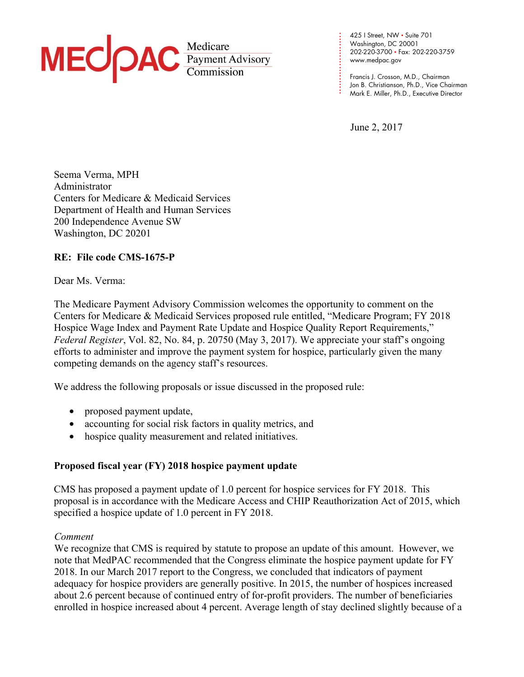

**. . .**  www.medpac.gov 425 I Street, NW • Suite 701 Washington, DC 20001 202-220-3700 • Fax: 202-220-3759

**. . .**  Francis J. Crosson, M.D., Chairman Jon B. Christianson, Ph.D., Vice Chairman Mark E. Miller, Ph.D., Executive Director

June 2, 2017

**. . . . . . . . .** 

**. . .** 

**. . . .**

Seema Verma, MPH Administrator Centers for Medicare & Medicaid Services Department of Health and Human Services 200 Independence Avenue SW Washington, DC 20201

# **RE: File code CMS-1675-P**

Dear Ms. Verma:

The Medicare Payment Advisory Commission welcomes the opportunity to comment on the Centers for Medicare & Medicaid Services proposed rule entitled, "Medicare Program; FY 2018 Hospice Wage Index and Payment Rate Update and Hospice Quality Report Requirements," *Federal Register*, Vol. 82, No. 84, p. 20750 (May 3, 2017). We appreciate your staff's ongoing efforts to administer and improve the payment system for hospice, particularly given the many competing demands on the agency staff's resources.

We address the following proposals or issue discussed in the proposed rule:

- proposed payment update,
- accounting for social risk factors in quality metrics, and
- hospice quality measurement and related initiatives.

## **Proposed fiscal year (FY) 2018 hospice payment update**

CMS has proposed a payment update of 1.0 percent for hospice services for FY 2018. This proposal is in accordance with the Medicare Access and CHIP Reauthorization Act of 2015, which specified a hospice update of 1.0 percent in FY 2018.

## *Comment*

We recognize that CMS is required by statute to propose an update of this amount. However, we note that MedPAC recommended that the Congress eliminate the hospice payment update for FY 2018. In our March 2017 report to the Congress, we concluded that indicators of payment adequacy for hospice providers are generally positive. In 2015, the number of hospices increased about 2.6 percent because of continued entry of for-profit providers. The number of beneficiaries enrolled in hospice increased about 4 percent. Average length of stay declined slightly because of a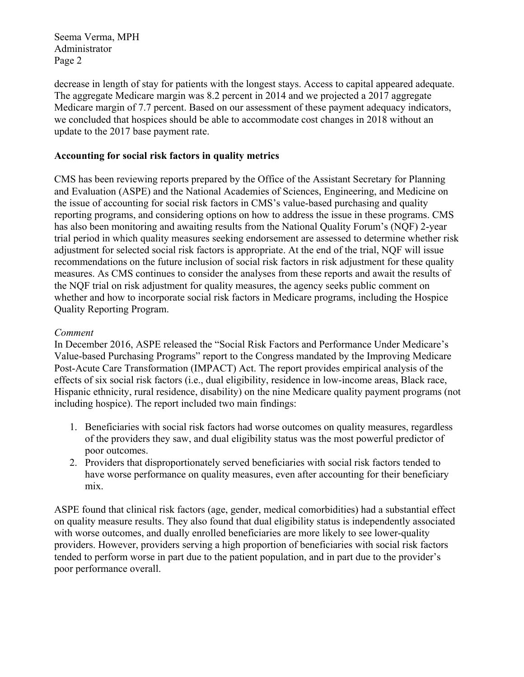Seema Verma, MPH Administrator Page 2

decrease in length of stay for patients with the longest stays. Access to capital appeared adequate. The aggregate Medicare margin was 8.2 percent in 2014 and we projected a 2017 aggregate Medicare margin of 7.7 percent. Based on our assessment of these payment adequacy indicators, we concluded that hospices should be able to accommodate cost changes in 2018 without an update to the 2017 base payment rate.

## **Accounting for social risk factors in quality metrics**

CMS has been reviewing reports prepared by the Office of the Assistant Secretary for Planning and Evaluation (ASPE) and the National Academies of Sciences, Engineering, and Medicine on the issue of accounting for social risk factors in CMS's value-based purchasing and quality reporting programs, and considering options on how to address the issue in these programs. CMS has also been monitoring and awaiting results from the National Quality Forum's (NQF) 2-year trial period in which quality measures seeking endorsement are assessed to determine whether risk adjustment for selected social risk factors is appropriate. At the end of the trial, NQF will issue recommendations on the future inclusion of social risk factors in risk adjustment for these quality measures. As CMS continues to consider the analyses from these reports and await the results of the NQF trial on risk adjustment for quality measures, the agency seeks public comment on whether and how to incorporate social risk factors in Medicare programs, including the Hospice Quality Reporting Program.

## *Comment*

In December 2016, ASPE released the "Social Risk Factors and Performance Under Medicare's Value-based Purchasing Programs" report to the Congress mandated by the Improving Medicare Post-Acute Care Transformation (IMPACT) Act. The report provides empirical analysis of the effects of six social risk factors (i.e., dual eligibility, residence in low-income areas, Black race, Hispanic ethnicity, rural residence, disability) on the nine Medicare quality payment programs (not including hospice). The report included two main findings:

- 1. Beneficiaries with social risk factors had worse outcomes on quality measures, regardless of the providers they saw, and dual eligibility status was the most powerful predictor of poor outcomes.
- 2. Providers that disproportionately served beneficiaries with social risk factors tended to have worse performance on quality measures, even after accounting for their beneficiary mix.

ASPE found that clinical risk factors (age, gender, medical comorbidities) had a substantial effect on quality measure results. They also found that dual eligibility status is independently associated with worse outcomes, and dually enrolled beneficiaries are more likely to see lower-quality providers. However, providers serving a high proportion of beneficiaries with social risk factors tended to perform worse in part due to the patient population, and in part due to the provider's poor performance overall.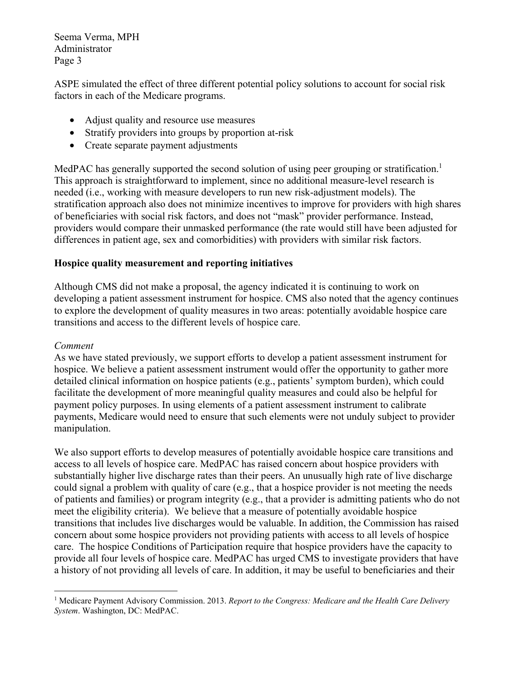Seema Verma, MPH Administrator Page 3

ASPE simulated the effect of three different potential policy solutions to account for social risk factors in each of the Medicare programs.

- Adjust quality and resource use measures
- Stratify providers into groups by proportion at-risk
- Create separate payment adjustments

MedPAC has generally supported the second solution of using peer grouping or stratification.<sup>1</sup> This approach is straightforward to implement, since no additional measure-level research is needed (i.e., working with measure developers to run new risk-adjustment models). The stratification approach also does not minimize incentives to improve for providers with high shares of beneficiaries with social risk factors, and does not "mask" provider performance. Instead, providers would compare their unmasked performance (the rate would still have been adjusted for differences in patient age, sex and comorbidities) with providers with similar risk factors.

## **Hospice quality measurement and reporting initiatives**

Although CMS did not make a proposal, the agency indicated it is continuing to work on developing a patient assessment instrument for hospice. CMS also noted that the agency continues to explore the development of quality measures in two areas: potentially avoidable hospice care transitions and access to the different levels of hospice care.

## *Comment*

1

As we have stated previously, we support efforts to develop a patient assessment instrument for hospice. We believe a patient assessment instrument would offer the opportunity to gather more detailed clinical information on hospice patients (e.g., patients' symptom burden), which could facilitate the development of more meaningful quality measures and could also be helpful for payment policy purposes. In using elements of a patient assessment instrument to calibrate payments, Medicare would need to ensure that such elements were not unduly subject to provider manipulation.

We also support efforts to develop measures of potentially avoidable hospice care transitions and access to all levels of hospice care. MedPAC has raised concern about hospice providers with substantially higher live discharge rates than their peers. An unusually high rate of live discharge could signal a problem with quality of care (e.g., that a hospice provider is not meeting the needs of patients and families) or program integrity (e.g., that a provider is admitting patients who do not meet the eligibility criteria). We believe that a measure of potentially avoidable hospice transitions that includes live discharges would be valuable. In addition, the Commission has raised concern about some hospice providers not providing patients with access to all levels of hospice care. The hospice Conditions of Participation require that hospice providers have the capacity to provide all four levels of hospice care. MedPAC has urged CMS to investigate providers that have a history of not providing all levels of care. In addition, it may be useful to beneficiaries and their

<sup>1</sup> Medicare Payment Advisory Commission. 2013. *Report to the Congress: Medicare and the Health Care Delivery System*. Washington, DC: MedPAC.